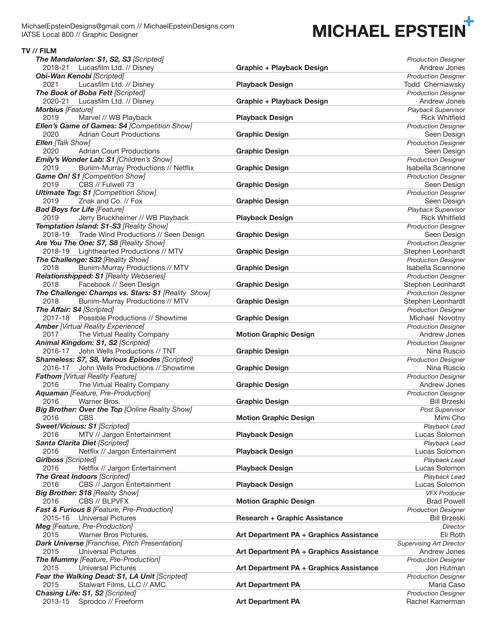MichaelEpsteinDesigns@gmail.com // MichaelEpsteinDesigns.com IATSE Local 800 // Graphic Designer



| TV // FILM                                             |                                         |                                 |
|--------------------------------------------------------|-----------------------------------------|---------------------------------|
| The Mandalorian: S1, S2, S3 [Scripted]                 |                                         | <b>Production Designer</b>      |
| 2018-21 Lucasfilm Ltd. // Disney                       | <b>Graphic + Playback Design</b>        | Andrew Jones                    |
| <b>Obi-Wan Kenobi [Scripted]</b>                       |                                         | <b>Production Designer</b>      |
| Lucasfilm Ltd. // Disney<br>2021                       | <b>Playback Design</b>                  | Todd Cherniawsky                |
| The Book of Boba Fett [Scripted]                       |                                         | <b>Production Designer</b>      |
| 2020-21 Lucasfilm Ltd. // Disney                       | <b>Graphic + Playback Design</b>        | Andrew Jones                    |
| <b>Morbius</b> [Feature]                               |                                         | Playback Supervisor             |
| Marvel // WB Playback<br>2019                          | <b>Playback Design</b>                  | <b>Rick Whitfield</b>           |
| Ellen's Game of Games: S4 [Competition Show]           |                                         | <b>Production Designer</b>      |
| 2020<br><b>Adrian Court Productions</b>                | <b>Graphic Design</b>                   | Seen Design                     |
| <b>Ellen</b> [Talk Show]                               |                                         | <b>Production Designer</b>      |
| <b>Adrian Court Productions</b><br>2020                | <b>Graphic Design</b>                   |                                 |
|                                                        |                                         | Seen Design                     |
| Emily's Wonder Lab: S1 [Children's Show]               |                                         | <b>Production Designer</b>      |
| Bunim-Murray Productions // Netflix<br>2019            | <b>Graphic Design</b>                   | Isabella Scannone               |
| <b>Game On! S1 [Competition Show]</b>                  |                                         | <b>Production Designer</b>      |
| CBS // Fulwell 73<br>2019                              | <b>Graphic Design</b>                   | Seen Design                     |
| <b>Ultimate Tag: S1 [Competition Show]</b>             |                                         | <b>Production Designer</b>      |
| 2019<br>Znak and Co. // Fox                            | <b>Graphic Design</b>                   | Seen Design                     |
| <b>Bad Boys for Life [Feature]</b>                     |                                         | Playback Supervisor             |
| Jerry Bruckheimer // WB Playback<br>2019               | <b>Playback Design</b>                  | <b>Rick Whitfield</b>           |
| Temptation Island: S1-S3 [Reality Show]                |                                         | <b>Production Designer</b>      |
| 2018-19 Trade Wind Productions // Seen Design          | <b>Graphic Design</b>                   | Seen Design                     |
| Are You The One: S7, S8 [Reality Show]                 |                                         | <b>Production Designer</b>      |
| 2018-19 Lighthearted Productions // MTV                | <b>Graphic Design</b>                   | Stephen Leonhardt               |
| The Challenge: S32 [Reality Show]                      |                                         | <b>Production Designer</b>      |
| 2018<br>Bunim-Murray Productions // MTV                | <b>Graphic Design</b>                   | Isabella Scannone               |
| Relationshipped: S1 [Reality Webseries]                |                                         | <b>Production Designer</b>      |
| Facebook // Seen Design<br>2018                        | <b>Graphic Design</b>                   | Stephen Leonhardt               |
| The Challenge: Champs vs. Stars: S1 [Reality Show]     |                                         | <b>Production Designer</b>      |
| 2018<br>Bunim-Murray Productions // MTV                | <b>Graphic Design</b>                   | Stephen Leonhardt               |
| The Affair: S4 [Scripted]                              |                                         | <b>Production Designer</b>      |
| 2017-18 Possible Productions // Showtime               | <b>Graphic Design</b>                   | Michael Novotny                 |
|                                                        |                                         |                                 |
| <b>Amber</b> [Virtual Reality Experience]              |                                         | <b>Production Designer</b>      |
| The Virtual Reality Company<br>2017                    | <b>Motion Graphic Design</b>            | Andrew Jones                    |
| Animal Kingdom: S1, S2 [Scripted]                      |                                         | <b>Production Designer</b>      |
| 2016-17 John Wells Productions // TNT                  | <b>Graphic Design</b>                   | Nina Ruscio                     |
| Shameless: S7, S8, Various Episodes [Scripted]         |                                         | <b>Production Designer</b>      |
| 2016-17 John Wells Productions // Showtime             | <b>Graphic Design</b>                   | Nina Ruscio                     |
| <b>Fathom</b> [Virtual Reality Feature]                |                                         | <b>Production Designer</b>      |
| 2016<br>The Virtual Reality Company                    | <b>Graphic Design</b>                   | Andrew Jones                    |
| <b>Aquaman [Feature, Pre-Production]</b>               |                                         | <b>Production Designer</b>      |
| 2016 Warner Bros.                                      | <b>Graphic Design</b>                   | <b>Bill Brzeski</b>             |
| <b>Big Brother: Over the Top [Online Reality Show]</b> |                                         | Post Supervisor                 |
| <b>CBS</b><br>2016                                     | <b>Motion Graphic Design</b>            | Mimi Cho                        |
| <b>Sweet/Vicious: S1 [Scripted]</b>                    |                                         | Playback Lead                   |
| 2016<br>MTV // Jargon Entertainment                    | <b>Playback Design</b>                  | Lucas Solomon                   |
| Santa Clarita Diet [Scripted]                          |                                         | Playback Lead                   |
| Netflix // Jargon Entertainment<br>2016                | <b>Playback Design</b>                  | Lucas Solomon                   |
| <b>Girlboss</b> [Scripted]                             |                                         | Playback Lead                   |
| Netflix // Jargon Entertainment<br>2016                | <b>Playback Design</b>                  | Lucas Solomon                   |
| <b>The Great Indoors [Scripted]</b>                    |                                         | Playback Lead                   |
|                                                        |                                         |                                 |
| CBS // Jargon Entertainment<br>2016                    | <b>Playback Design</b>                  | Lucas Solomon                   |
| <b>Big Brother: S18 [Reality Show]</b>                 |                                         | <b>VFX Producer</b>             |
| CBS // BLPVFX<br>2016                                  | <b>Motion Graphic Design</b>            | <b>Brad Powell</b>              |
| Fast & Furious 8 [Feature, Pre-Production]             |                                         | <b>Production Designer</b>      |
| 2015-16 Universal Pictures                             | <b>Research + Graphic Assistance</b>    | <b>Bill Brzeski</b>             |
| Meg [Feature, Pre-Production]                          |                                         | <b>Director</b>                 |
| 2015<br>Warner Bros Pictures.                          | Art Department PA + Graphics Assistance | Eli Roth                        |
| Dark Universe [Franchise, Pitch Presentation]          |                                         | <b>Supervising Art Director</b> |
| <b>Universal Pictures</b><br>2015                      | Art Department PA + Graphics Assistance | Andrew Jones                    |
| The Mummy [Feature, Pre-Production]                    |                                         | <b>Production Designer</b>      |
| 2015<br><b>Universal Pictures</b>                      | Art Department PA + Graphics Assistance | Jon Hutman                      |
| Fear the Walking Dead: S1, LA Unit [Scripted]          |                                         | <b>Production Designer</b>      |
| Stalwart Films, LLC // AMC<br>2015                     | <b>Art Department PA</b>                | Maria Caso                      |
| Chasing Life: S1, S2 [Scripted]                        |                                         | <b>Production Designer</b>      |
| 2013-15 Sprodco // Freeform                            | <b>Art Department PA</b>                | Rachel Kamerman                 |
|                                                        |                                         |                                 |